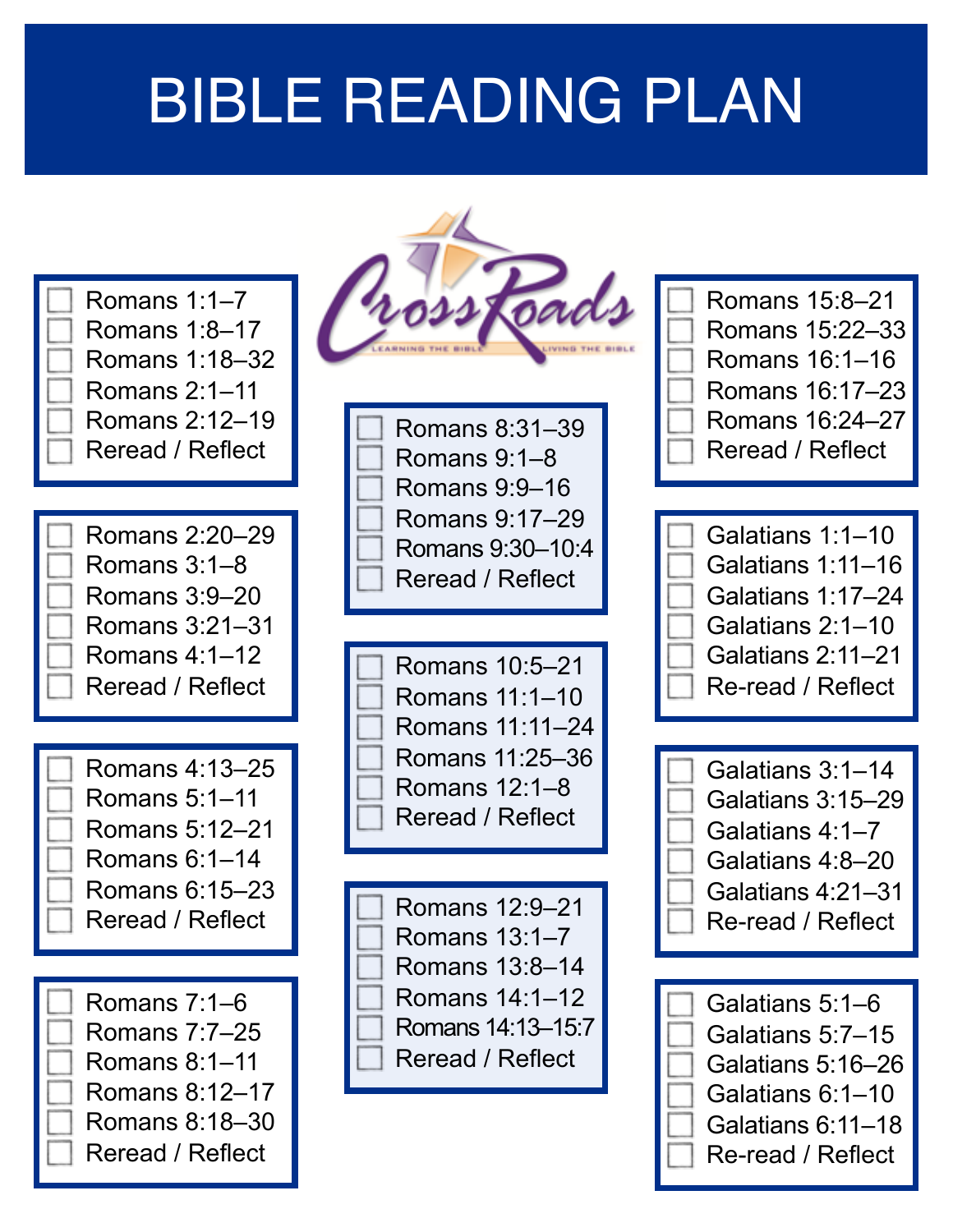## BIBLE READING PLAN